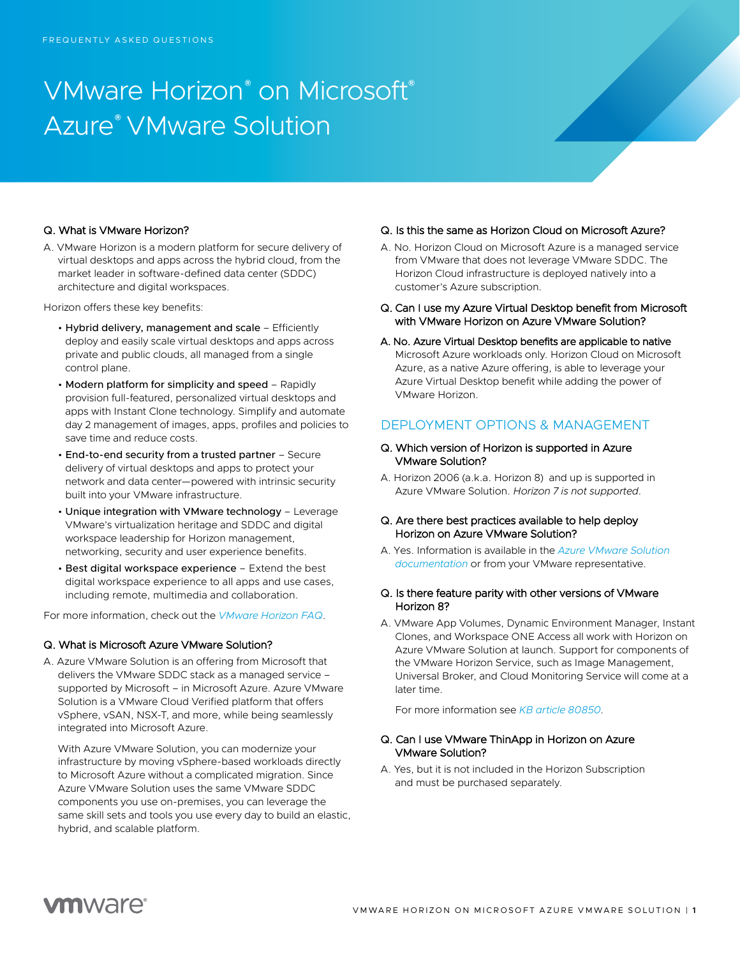# VMware Horizon® on Microsoft® Azure® VMware Solution

#### Q. What is VMware Horizon?

A. VMware Horizon is a modern platform for secure delivery of virtual desktops and apps across the hybrid cloud, from the market leader in software-defined data center (SDDC) architecture and digital workspaces.

Horizon offers these key benefits:

- Hybrid delivery, management and scale Efficiently deploy and easily scale virtual desktops and apps across private and public clouds, all managed from a single control plane.
- Modern platform for simplicity and speed Rapidly provision full-featured, personalized virtual desktops and apps with Instant Clone technology. Simplify and automate day 2 management of images, apps, profiles and policies to save time and reduce costs.
- End-to-end security from a trusted partner Secure delivery of virtual desktops and apps to protect your network and data center—powered with intrinsic security built into your VMware infrastructure.
- Unique integration with VMware technology Leverage VMware's virtualization heritage and SDDC and digital workspace leadership for Horizon management, networking, security and user experience benefits.
- Best digital workspace experience Extend the best digital workspace experience to all apps and use cases, including remote, multimedia and collaboration.

For more information, check out the *[VMware Horizon FAQ](https://www.vmware.com/content/dam/digitalmarketing/vmware/en/pdf/products/horizon/vmw-horizon-faqs.pdf)*.

#### Q. What is Microsoft Azure VMware Solution?

A. Azure VMware Solution is an offering from Microsoft that delivers the VMware SDDC stack as a managed service – supported by Microsoft – in Microsoft Azure. Azure VMware Solution is a VMware Cloud Verified platform that offers vSphere, vSAN, NSX-T, and more, while being seamlessly integrated into Microsoft Azure.

With Azure VMware Solution, you can modernize your infrastructure by moving vSphere-based workloads directly to Microsoft Azure without a complicated migration. Since Azure VMware Solution uses the same VMware SDDC components you use on-premises, you can leverage the same skill sets and tools you use every day to build an elastic, hybrid, and scalable platform.

#### Q. Is this the same as Horizon Cloud on Microsoft Azure?

- A. No. Horizon Cloud on Microsoft Azure is a managed service from VMware that does not leverage VMware SDDC. The Horizon Cloud infrastructure is deployed natively into a customer's Azure subscription.
- Q. Can I use my Azure Virtual Desktop benefit from Microsoft with VMware Horizon on Azure VMware Solution?
- A. No. Azure Virtual Desktop benefits are applicable to native Microsoft Azure workloads only. Horizon Cloud on Microsoft Azure, as a native Azure offering, is able to leverage your Azure Virtual Desktop benefit while adding the power of VMware Horizon.

#### DEPLOYMENT OPTIONS & MANAGEMENT

#### Q. Which version of Horizon is supported in Azure VMware Solution?

A. Horizon 2006 (a.k.a. Horizon 8) and up is supported in Azure VMware Solution. *Horizon 7 is not supported.*

#### Q. Are there best practices available to help deploy Horizon on Azure VMware Solution?

A. Yes. Information is available in the *Azure [VMware Solution](https://docs.microsoft.com/en-us/azure/azure-vmware/azure-vmware-solution-horizon) [documentation](https://docs.microsoft.com/en-us/azure/azure-vmware/azure-vmware-solution-horizon)* or from your VMware representative.

#### Q. Is there feature parity with other versions of VMware Horizon 8?

A. VMware App Volumes, Dynamic Environment Manager, Instant Clones, and Workspace ONE Access all work with Horizon on Azure VMware Solution at launch. Support for components of the VMware Horizon Service, such as Image Management, Universal Broker, and Cloud Monitoring Service will come at a later time.

For more information see *[KB article 80850](https://kb.vmware.com/s/article/80850)*.

#### Q. Can I use VMware ThinApp in Horizon on Azure VMware Solution?

A. Yes, but it is not included in the Horizon Subscription and must be purchased separately.

## **vm**ware<sup>®</sup>